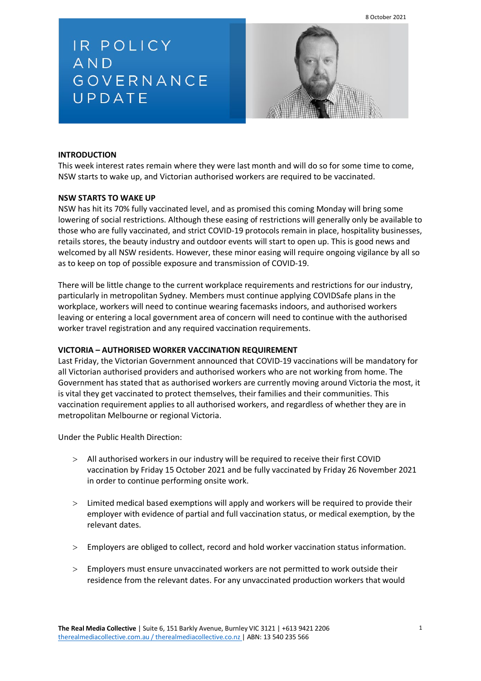8 October 2021

IR POLICY AND GOVERNANCE UPDATE



# **INTRODUCTION**

This week interest rates remain where they were last month and will do so for some time to come, NSW starts to wake up, and Victorian authorised workers are required to be vaccinated.

### **NSW STARTS TO WAKE UP**

NSW has hit its 70% fully vaccinated level, and as promised this coming Monday will bring some lowering of social restrictions. Although these easing of restrictions will generally only be available to those who are fully vaccinated, and strict COVID-19 protocols remain in place, hospitality businesses, retails stores, the beauty industry and outdoor events will start to open up. This is good news and welcomed by all NSW residents. However, these minor easing will require ongoing vigilance by all so as to keep on top of possible exposure and transmission of COVID-19.

There will be little change to the current workplace requirements and restrictions for our industry, particularly in metropolitan Sydney. Members must continue applying COVIDSafe plans in the workplace, workers will need to continue wearing facemasks indoors, and authorised workers leaving or entering a local government area of concern will need to continue with the authorised worker travel registration and any required vaccination requirements.

## **VICTORIA – AUTHORISED WORKER VACCINATION REQUIREMENT**

Last Friday, the Victorian Government announced that COVID-19 vaccinations will be mandatory for all Victorian authorised providers and authorised workers who are not working from home. The Government has stated that as authorised workers are currently moving around Victoria the most, it is vital they get vaccinated to protect themselves, their families and their communities. This vaccination requirement applies to all authorised workers, and regardless of whether they are in metropolitan Melbourne or regional Victoria.

Under the Public Health Direction:

- > All authorised workers in our industry will be required to receive their first COVID vaccination by Friday 15 October 2021 and be fully vaccinated by Friday 26 November 2021 in order to continue performing onsite work.
- > Limited medical based exemptions will apply and workers will be required to provide their employer with evidence of partial and full vaccination status, or medical exemption, by the relevant dates.
- > Employers are obliged to collect, record and hold worker vaccination status information.
- > Employers must ensure unvaccinated workers are not permitted to work outside their residence from the relevant dates. For any unvaccinated production workers that would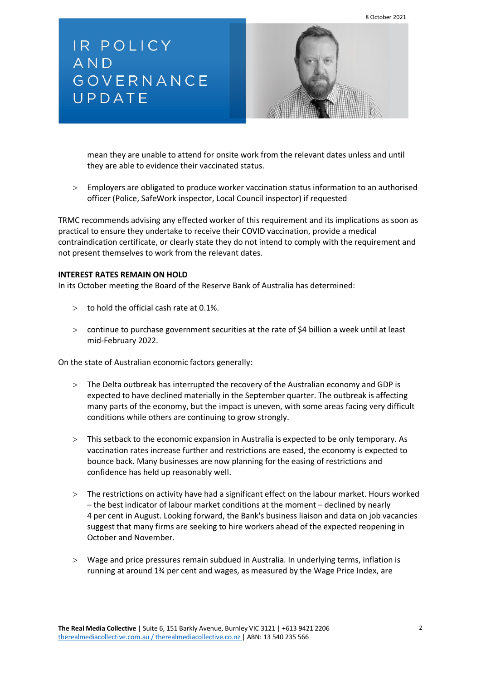8 October 2021

IR POLICY AND GOVERNANCE UPDATE



mean they are unable to attend for onsite work from the relevant dates unless and until they are able to evidence their vaccinated status.

> Employers are obligated to produce worker vaccination status information to an authorised officer (Police, SafeWork inspector, Local Council inspector) if requested

TRMC recommends advising any effected worker of this requirement and its implications as soon as practical to ensure they undertake to receive their COVID vaccination, provide a medical contraindication certificate, or clearly state they do not intend to comply with the requirement and not present themselves to work from the relevant dates.

#### **INTEREST RATES REMAIN ON HOLD**

In its October meeting the Board of the Reserve Bank of Australia has determined:

- $>$  to hold the official cash rate at 0.1%.
- > continue to purchase government securities at the rate of \$4 billion a week until at least mid-February 2022.

On the state of Australian economic factors generally:

- > The Delta outbreak has interrupted the recovery of the Australian economy and GDP is expected to have declined materially in the September quarter. The outbreak is affecting many parts of the economy, but the impact is uneven, with some areas facing very difficult conditions while others are continuing to grow strongly.
- > This setback to the economic expansion in Australia is expected to be only temporary. As vaccination rates increase further and restrictions are eased, the economy is expected to bounce back. Many businesses are now planning for the easing of restrictions and confidence has held up reasonably well.
- > The restrictions on activity have had a significant effect on the labour market. Hours worked – the best indicator of labour market conditions at the moment – declined by nearly 4 per cent in August. Looking forward, the Bank's business liaison and data on job vacancies suggest that many firms are seeking to hire workers ahead of the expected reopening in October and November.
- > Wage and price pressures remain subdued in Australia. In underlying terms, inflation is running at around 1¾ per cent and wages, as measured by the Wage Price Index, are